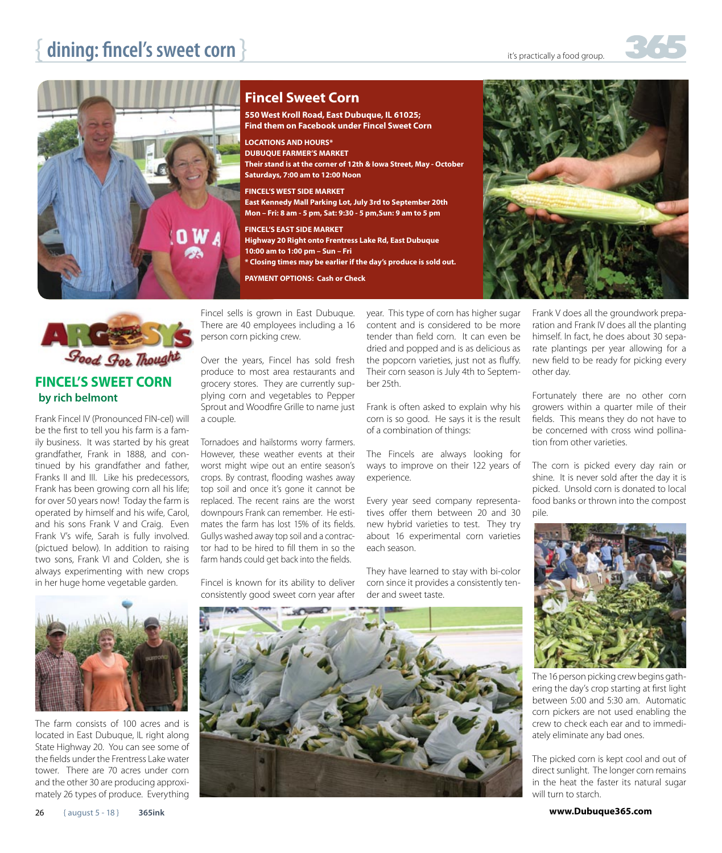

## **Fincel Sweet Corn**

**550 West Kroll Road, East Dubuque, IL 61025; Find them on Facebook under Fincel Sweet Corn** 

**LOCATIONS AND HOURS\***

**DUBUQUE FARMER'S MARKET**

**Their stand is at the corner of 12th & Iowa Street, May - October Saturdays, 7:00 am to 12:00 Noon**

### **FINCEL'S WEST SIDE MARKET**

**East Kennedy Mall Parking Lot, July 3rd to September 20th Mon – Fri: 8 am - 5 pm, Sat: 9:30 - 5 pm,Sun: 9 am to 5 pm**

#### **FINCEL'S EAST SIDE MARKET**

- **Highway 20 Right onto Frentress Lake Rd, East Dubuque 10:00 am to 1:00 pm – Sun – Fri**
- **\* Closing times may be earlier if the day's produce is sold out.**

**PAYMENT OPTIONS: Cash or Check**





Frank Fincel IV (Pronounced FIN-cel) will be the first to tell you his farm is a family business. It was started by his great grandfather, Frank in 1888, and continued by his grandfather and father, Franks II and III. Like his predecessors, Frank has been growing corn all his life; for over 50 years now! Today the farm is operated by himself and his wife, Carol, and his sons Frank V and Craig. Even Frank V's wife, Sarah is fully involved. (pictued below). In addition to raising two sons, Frank VI and Colden, she is always experimenting with new crops in her huge home vegetable garden.



The farm consists of 100 acres and is located in East Dubuque, IL right along State Highway 20. You can see some of the fields under the Frentress Lake water tower. There are 70 acres under corn and the other 30 are producing approximately 26 types of produce. Everything

Fincel sells is grown in East Dubuque. There are 40 employees including a 16 person corn picking crew.

Over the years, Fincel has sold fresh produce to most area restaurants and grocery stores. They are currently supplying corn and vegetables to Pepper Sprout and Woodfire Grille to name just a couple.

Tornadoes and hailstorms worry farmers. However, these weather events at their worst might wipe out an entire season's crops. By contrast, flooding washes away top soil and once it's gone it cannot be replaced. The recent rains are the worst downpours Frank can remember. He estimates the farm has lost 15% of its fields. Gullys washed away top soil and a contractor had to be hired to fill them in so the farm hands could get back into the fields.

Fincel is known for its ability to deliver consistently good sweet corn year after

year. This type of corn has higher sugar content and is considered to be more tender than field corn. It can even be dried and popped and is as delicious as the popcorn varieties, just not as fluffy. Their corn season is July 4th to September 25th.

Frank is often asked to explain why his corn is so good. He says it is the result of a combination of things:

The Fincels are always looking for ways to improve on their 122 years of experience.

Every year seed company representatives offer them between 20 and 30 new hybrid varieties to test. They try about 16 experimental corn varieties each season.

They have learned to stay with bi-color corn since it provides a consistently tender and sweet taste.

Frank V does all the groundwork preparation and Frank IV does all the planting himself. In fact, he does about 30 separate plantings per year allowing for a new field to be ready for picking every other day.

Fortunately there are no other corn growers within a quarter mile of their fields. This means they do not have to be concerned with cross wind pollination from other varieties.

The corn is picked every day rain or shine. It is never sold after the day it is picked. Unsold corn is donated to local food banks or thrown into the compost pile.



The 16 person picking crew begins gathering the day's crop starting at first light between 5:00 and 5:30 am. Automatic corn pickers are not used enabling the crew to check each ear and to immediately eliminate any bad ones.

The picked corn is kept cool and out of direct sunlight. The longer corn remains in the heat the faster its natural sugar will turn to starch.